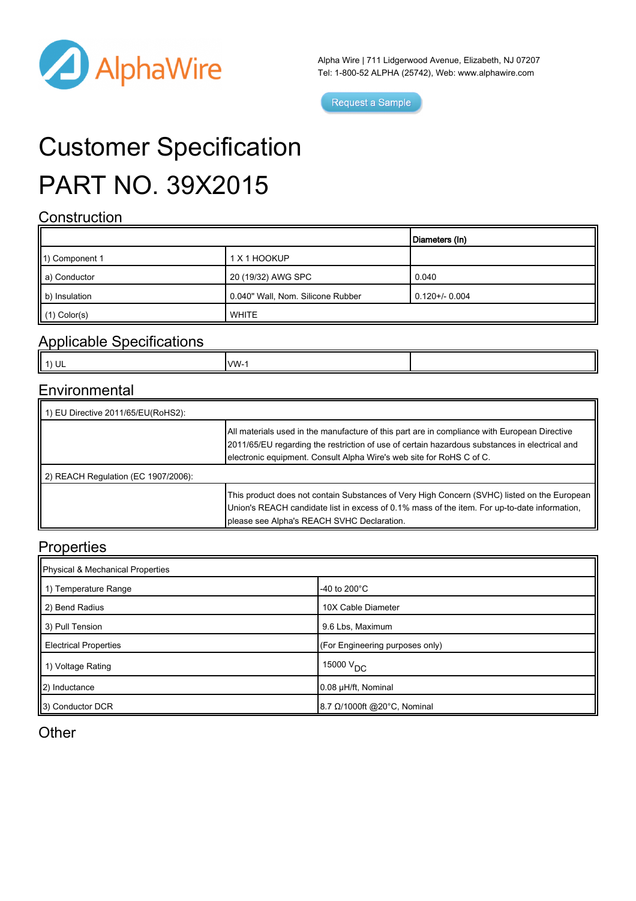

Alpha Wire | 711 Lidgerwood Avenue, Elizabeth, NJ 07207 Tel: 1-800-52 ALPHA (25742), Web: [www.alphawire.com](http://www.alphawire.com)

Request a Sample

# Customer Specification PART NO. 39X2015

### **Construction**

|                           |                                   | Diameters (In)  |
|---------------------------|-----------------------------------|-----------------|
| 1) Component 1            | 1 X 1 HOOKUP                      |                 |
| a) Conductor              | 20 (19/32) AWG SPC                | 0.040           |
| $\parallel$ b) Insulation | 0.040" Wall, Nom. Silicone Rubber | $0.120 + 0.004$ |
| $\parallel$ (1) Color(s)  | <b>WHITE</b>                      |                 |

#### Applicable Specifications

| Ŀ<br><b>MM</b><br>ш<br>$\sim$ |
|-------------------------------|
|-------------------------------|

#### **Environmental**

| 1) EU Directive 2011/65/EU(RoHS2):          |                                                                                                                                                                                                                                                                       |  |  |
|---------------------------------------------|-----------------------------------------------------------------------------------------------------------------------------------------------------------------------------------------------------------------------------------------------------------------------|--|--|
|                                             | All materials used in the manufacture of this part are in compliance with European Directive<br>2011/65/EU regarding the restriction of use of certain hazardous substances in electrical and<br>electronic equipment. Consult Alpha Wire's web site for RoHS C of C. |  |  |
| $\vert$ 2) REACH Regulation (EC 1907/2006): |                                                                                                                                                                                                                                                                       |  |  |
|                                             | This product does not contain Substances of Very High Concern (SVHC) listed on the European<br>Union's REACH candidate list in excess of 0.1% mass of the item. For up-to-date information,<br>please see Alpha's REACH SVHC Declaration.                             |  |  |

#### **Properties**

| Physical & Mechanical Properties |                                    |  |
|----------------------------------|------------------------------------|--|
| 1) Temperature Range             | -40 to 200 $^{\circ}$ C            |  |
| 2) Bend Radius                   | 10X Cable Diameter                 |  |
| 3) Pull Tension                  | 9.6 Lbs, Maximum                   |  |
| <b>Electrical Properties</b>     | (For Engineering purposes only)    |  |
| 1) Voltage Rating                | $15000$ $\mathrm{V}_{\mathrm{DC}}$ |  |
| $\vert$ 2) Inductance            | 0.08 µH/ft, Nominal                |  |
| 3) Conductor DCR                 | 8.7 Ω/1000ft @20°C, Nominal        |  |

**Other**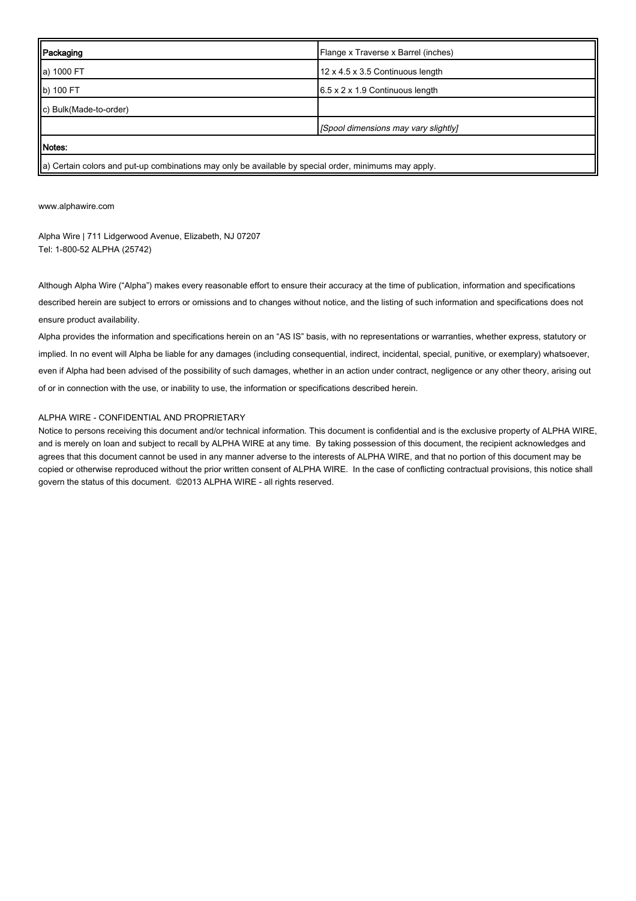| Packaging                                                                                             | Flange x Traverse x Barrel (inches)         |  |
|-------------------------------------------------------------------------------------------------------|---------------------------------------------|--|
| a) 1000 FT                                                                                            | 12 x 4.5 x 3.5 Continuous length            |  |
| b) 100 FT                                                                                             | $6.5 \times 2 \times 1.9$ Continuous length |  |
| c) Bulk(Made-to-order)                                                                                |                                             |  |
|                                                                                                       | [Spool dimensions may vary slightly]        |  |
| Notes:                                                                                                |                                             |  |
| a) Certain colors and put-up combinations may only be available by special order, minimums may apply. |                                             |  |

[www.alphawire.com](http://www.alphawire.com)

Alpha Wire | 711 Lidgerwood Avenue, Elizabeth, NJ 07207 Tel: 1-800-52 ALPHA (25742)

Although Alpha Wire ("Alpha") makes every reasonable effort to ensure their accuracy at the time of publication, information and specifications described herein are subject to errors or omissions and to changes without notice, and the listing of such information and specifications does not ensure product availability.

Alpha provides the information and specifications herein on an "AS IS" basis, with no representations or warranties, whether express, statutory or implied. In no event will Alpha be liable for any damages (including consequential, indirect, incidental, special, punitive, or exemplary) whatsoever, even if Alpha had been advised of the possibility of such damages, whether in an action under contract, negligence or any other theory, arising out of or in connection with the use, or inability to use, the information or specifications described herein.

#### ALPHA WIRE - CONFIDENTIAL AND PROPRIETARY

Notice to persons receiving this document and/or technical information. This document is confidential and is the exclusive property of ALPHA WIRE, and is merely on loan and subject to recall by ALPHA WIRE at any time. By taking possession of this document, the recipient acknowledges and agrees that this document cannot be used in any manner adverse to the interests of ALPHA WIRE, and that no portion of this document may be copied or otherwise reproduced without the prior written consent of ALPHA WIRE. In the case of conflicting contractual provisions, this notice shall govern the status of this document. ©2013 ALPHA WIRE - all rights reserved.